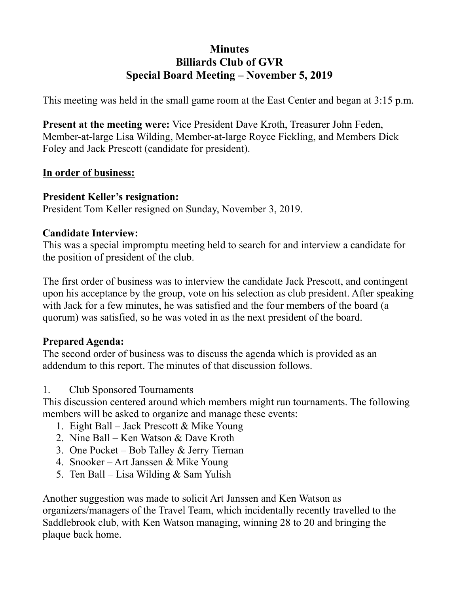## **Minutes Billiards Club of GVR Special Board Meeting – November 5, 2019**

This meeting was held in the small game room at the East Center and began at 3:15 p.m.

**Present at the meeting were:** Vice President Dave Kroth, Treasurer John Feden, Member-at-large Lisa Wilding, Member-at-large Royce Fickling, and Members Dick Foley and Jack Prescott (candidate for president).

### **In order of business:**

### **President Keller's resignation:**

President Tom Keller resigned on Sunday, November 3, 2019.

### **Candidate Interview:**

This was a special impromptu meeting held to search for and interview a candidate for the position of president of the club.

The first order of business was to interview the candidate Jack Prescott, and contingent upon his acceptance by the group, vote on his selection as club president. After speaking with Jack for a few minutes, he was satisfied and the four members of the board (a quorum) was satisfied, so he was voted in as the next president of the board.

## **Prepared Agenda:**

The second order of business was to discuss the agenda which is provided as an addendum to this report. The minutes of that discussion follows.

1. Club Sponsored Tournaments

This discussion centered around which members might run tournaments. The following members will be asked to organize and manage these events:

- 1. Eight Ball Jack Prescott & Mike Young
- 2. Nine Ball Ken Watson & Dave Kroth
- 3. One Pocket Bob Talley & Jerry Tiernan
- 4. Snooker Art Janssen & Mike Young
- 5. Ten Ball Lisa Wilding & Sam Yulish

Another suggestion was made to solicit Art Janssen and Ken Watson as organizers/managers of the Travel Team, which incidentally recently travelled to the Saddlebrook club, with Ken Watson managing, winning 28 to 20 and bringing the plaque back home.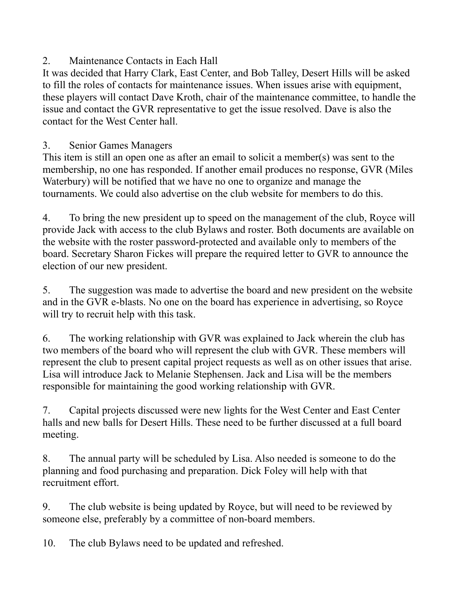# 2. Maintenance Contacts in Each Hall

It was decided that Harry Clark, East Center, and Bob Talley, Desert Hills will be asked to fill the roles of contacts for maintenance issues. When issues arise with equipment, these players will contact Dave Kroth, chair of the maintenance committee, to handle the issue and contact the GVR representative to get the issue resolved. Dave is also the contact for the West Center hall.

## 3. Senior Games Managers

This item is still an open one as after an email to solicit a member(s) was sent to the membership, no one has responded. If another email produces no response, GVR (Miles Waterbury) will be notified that we have no one to organize and manage the tournaments. We could also advertise on the club website for members to do this.

4. To bring the new president up to speed on the management of the club, Royce will provide Jack with access to the club Bylaws and roster. Both documents are available on the website with the roster password-protected and available only to members of the board. Secretary Sharon Fickes will prepare the required letter to GVR to announce the election of our new president.

5. The suggestion was made to advertise the board and new president on the website and in the GVR e-blasts. No one on the board has experience in advertising, so Royce will try to recruit help with this task.

6. The working relationship with GVR was explained to Jack wherein the club has two members of the board who will represent the club with GVR. These members will represent the club to present capital project requests as well as on other issues that arise. Lisa will introduce Jack to Melanie Stephensen. Jack and Lisa will be the members responsible for maintaining the good working relationship with GVR.

7. Capital projects discussed were new lights for the West Center and East Center halls and new balls for Desert Hills. These need to be further discussed at a full board meeting.

8. The annual party will be scheduled by Lisa. Also needed is someone to do the planning and food purchasing and preparation. Dick Foley will help with that recruitment effort.

9. The club website is being updated by Royce, but will need to be reviewed by someone else, preferably by a committee of non-board members.

10. The club Bylaws need to be updated and refreshed.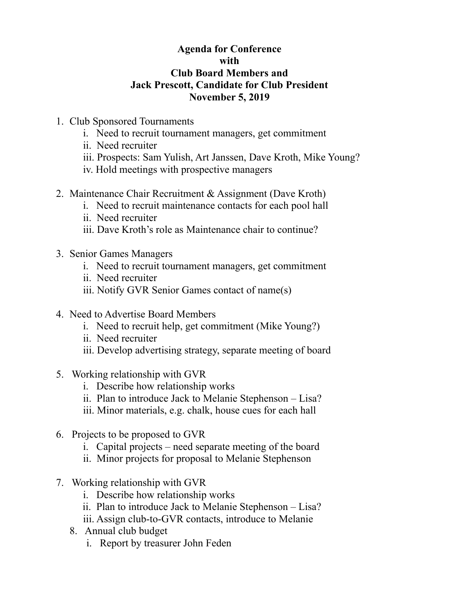#### **Agenda for Conference with Club Board Members and Jack Prescott, Candidate for Club President November 5, 2019**

- 1. Club Sponsored Tournaments
	- i. Need to recruit tournament managers, get commitment
	- ii. Need recruiter
	- iii. Prospects: Sam Yulish, Art Janssen, Dave Kroth, Mike Young?
	- iv. Hold meetings with prospective managers
- 2. Maintenance Chair Recruitment & Assignment (Dave Kroth)
	- i. Need to recruit maintenance contacts for each pool hall
	- ii. Need recruiter
	- iii. Dave Kroth's role as Maintenance chair to continue?
- 3. Senior Games Managers
	- i. Need to recruit tournament managers, get commitment
	- ii. Need recruiter
	- iii. Notify GVR Senior Games contact of name(s)
- 4. Need to Advertise Board Members
	- i. Need to recruit help, get commitment (Mike Young?)
	- ii. Need recruiter
	- iii. Develop advertising strategy, separate meeting of board
- 5. Working relationship with GVR
	- i. Describe how relationship works
	- ii. Plan to introduce Jack to Melanie Stephenson Lisa?
	- iii. Minor materials, e.g. chalk, house cues for each hall
- 6. Projects to be proposed to GVR
	- i. Capital projects need separate meeting of the board
	- ii. Minor projects for proposal to Melanie Stephenson
- 7. Working relationship with GVR
	- i. Describe how relationship works
	- ii. Plan to introduce Jack to Melanie Stephenson Lisa?
	- iii. Assign club-to-GVR contacts, introduce to Melanie
	- 8. Annual club budget
		- i. Report by treasurer John Feden